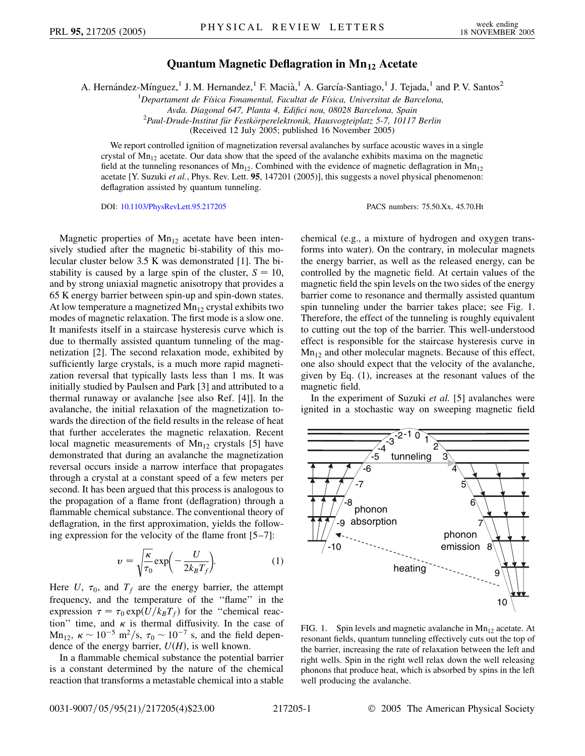## **Quantum Magnetic Deflagration in Mn<sub>12</sub> Acetate**

A. Hernández-Mínguez,<sup>1</sup> J. M. Hernandez,<sup>1</sup> F. Macià,<sup>1</sup> A. García-Santiago,<sup>1</sup> J. Tejada,<sup>1</sup> and P. V. Santos<sup>2</sup>

1 *Departament de Fı´sica Fonamental, Facultat de Fı´sica, Universitat de Barcelona,*

*Avda. Diagonal 647, Planta 4, Edifici nou, 08028 Barcelona, Spain* <sup>2</sup>

*Paul-Drude-Institut fu¨r Festko¨rperelektronik, Hausvogteiplatz 5-7, 10117 Berlin*

(Received 12 July 2005; published 16 November 2005)

We report controlled ignition of magnetization reversal avalanches by surface acoustic waves in a single crystal of  $Mn_{12}$  acetate. Our data show that the speed of the avalanche exhibits maxima on the magnetic field at the tunneling resonances of  $Mn_{12}$ . Combined with the evidence of magnetic deflagration in  $Mn_{12}$ acetate [Y. Suzuki *et al.*, Phys. Rev. Lett. **95**, 147201 (2005)], this suggests a novel physical phenomenon: deflagration assisted by quantum tunneling.

DOI: [10.1103/PhysRevLett.95.217205](http://dx.doi.org/10.1103/PhysRevLett.95.217205) PACS numbers: 75.50.Xx, 45.70.Ht

Magnetic properties of  $Mn<sub>12</sub>$  acetate have been intensively studied after the magnetic bi-stability of this molecular cluster below 3.5 K was demonstrated [1]. The bistability is caused by a large spin of the cluster,  $S = 10$ , and by strong uniaxial magnetic anisotropy that provides a 65 K energy barrier between spin-up and spin-down states. At low temperature a magnetized  $Mn_{12}$  crystal exhibits two modes of magnetic relaxation. The first mode is a slow one. It manifests itself in a staircase hysteresis curve which is due to thermally assisted quantum tunneling of the magnetization [2]. The second relaxation mode, exhibited by sufficiently large crystals, is a much more rapid magnetization reversal that typically lasts less than 1 ms. It was initially studied by Paulsen and Park [3] and attributed to a thermal runaway or avalanche [see also Ref. [4]]. In the avalanche, the initial relaxation of the magnetization towards the direction of the field results in the release of heat that further accelerates the magnetic relaxation. Recent local magnetic measurements of  $Mn<sub>12</sub>$  crystals [5] have demonstrated that during an avalanche the magnetization reversal occurs inside a narrow interface that propagates through a crystal at a constant speed of a few meters per second. It has been argued that this process is analogous to the propagation of a flame front (deflagration) through a flammable chemical substance. The conventional theory of deflagration, in the first approximation, yields the following expression for the velocity of the flame front [5–7]:

$$
v = \sqrt{\frac{\kappa}{\tau_0}} \exp\left(-\frac{U}{2k_B T_f}\right).
$$
 (1)

Here  $U$ ,  $\tau_0$ , and  $T_f$  are the energy barrier, the attempt frequency, and the temperature of the ''flame'' in the expression  $\tau = \tau_0 \exp(U/k_B T_f)$  for the "chemical reaction" time, and  $\kappa$  is thermal diffusivity. In the case of  $Mn_{12}$ ,  $\kappa \sim 10^{-5}$  m<sup>2</sup>/s,  $\tau_0 \sim 10^{-7}$  s, and the field dependence of the energy barrier,  $U(H)$ , is well known.

In a flammable chemical substance the potential barrier is a constant determined by the nature of the chemical reaction that transforms a metastable chemical into a stable chemical (e.g., a mixture of hydrogen and oxygen transforms into water). On the contrary, in molecular magnets the energy barrier, as well as the released energy, can be controlled by the magnetic field. At certain values of the magnetic field the spin levels on the two sides of the energy barrier come to resonance and thermally assisted quantum spin tunneling under the barrier takes place; see Fig. 1. Therefore, the effect of the tunneling is roughly equivalent to cutting out the top of the barrier. This well-understood effect is responsible for the staircase hysteresis curve in  $Mn<sub>12</sub>$  and other molecular magnets. Because of this effect, one also should expect that the velocity of the avalanche, given by Eq. (1), increases at the resonant values of the magnetic field.

In the experiment of Suzuki *et al.* [5] avalanches were ignited in a stochastic way on sweeping magnetic field



FIG. 1. Spin levels and magnetic avalanche in  $Mn_{12}$  acetate. At resonant fields, quantum tunneling effectively cuts out the top of the barrier, increasing the rate of relaxation between the left and right wells. Spin in the right well relax down the well releasing phonons that produce heat, which is absorbed by spins in the left well producing the avalanche.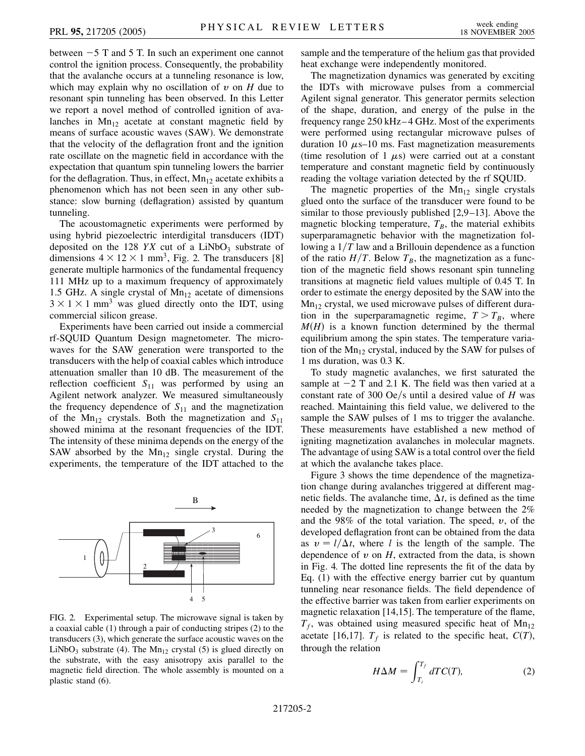between  $-5$  T and  $5$  T. In such an experiment one cannot control the ignition process. Consequently, the probability that the avalanche occurs at a tunneling resonance is low, which may explain why no oscillation of  $\nu$  on  $H$  due to resonant spin tunneling has been observed. In this Letter we report a novel method of controlled ignition of avalanches in  $Mn_{12}$  acetate at constant magnetic field by means of surface acoustic waves (SAW). We demonstrate that the velocity of the deflagration front and the ignition rate oscillate on the magnetic field in accordance with the expectation that quantum spin tunneling lowers the barrier for the deflagration. Thus, in effect,  $Mn_{12}$  acetate exhibits a phenomenon which has not been seen in any other substance: slow burning (deflagration) assisted by quantum tunneling.

The acoustomagnetic experiments were performed by using hybrid piezoelectric interdigital transducers (IDT) deposited on the 128  $YX$  cut of a LiNbO<sub>3</sub> substrate of dimensions  $4 \times 12 \times 1$  mm<sup>3</sup>, Fig. 2. The transducers [8] generate multiple harmonics of the fundamental frequency 111 MHz up to a maximum frequency of approximately 1.5 GHz. A single crystal of  $Mn<sub>12</sub>$  acetate of dimensions  $3 \times 1 \times 1$  mm<sup>3</sup> was glued directly onto the IDT, using commercial silicon grease.

Experiments have been carried out inside a commercial rf-SQUID Quantum Design magnetometer. The microwaves for the SAW generation were transported to the transducers with the help of coaxial cables which introduce attenuation smaller than 10 dB. The measurement of the reflection coefficient  $S_{11}$  was performed by using an Agilent network analyzer. We measured simultaneously the frequency dependence of  $S_{11}$  and the magnetization of the Mn<sub>12</sub> crystals. Both the magnetization and  $S_{11}$ showed minima at the resonant frequencies of the IDT. The intensity of these minima depends on the energy of the SAW absorbed by the  $Mn_{12}$  single crystal. During the experiments, the temperature of the IDT attached to the



FIG. 2. Experimental setup. The microwave signal is taken by a coaxial cable (1) through a pair of conducting stripes (2) to the transducers (3), which generate the surface acoustic waves on the LiNbO<sub>3</sub> substrate (4). The Mn<sub>12</sub> crystal (5) is glued directly on the substrate, with the easy anisotropy axis parallel to the magnetic field direction. The whole assembly is mounted on a plastic stand (6).

sample and the temperature of the helium gas that provided heat exchange were independently monitored.

The magnetization dynamics was generated by exciting the IDTs with microwave pulses from a commercial Agilent signal generator. This generator permits selection of the shape, duration, and energy of the pulse in the frequency range 250 kHz–4 GHz. Most of the experiments were performed using rectangular microwave pulses of duration 10  $\mu$ s–10 ms. Fast magnetization measurements (time resolution of  $1 \mu s$ ) were carried out at a constant temperature and constant magnetic field by continuously reading the voltage variation detected by the rf SQUID.

The magnetic properties of the  $Mn_{12}$  single crystals glued onto the surface of the transducer were found to be similar to those previously published [2,9–13]. Above the magnetic blocking temperature,  $T_B$ , the material exhibits superparamagnetic behavior with the magnetization following a  $1/T$  law and a Brillouin dependence as a function of the ratio  $H/T$ . Below  $T_B$ , the magnetization as a function of the magnetic field shows resonant spin tunneling transitions at magnetic field values multiple of 0.45 T. In order to estimate the energy deposited by the SAW into the  $Mn<sub>12</sub>$  crystal, we used microwave pulses of different duration in the superparamagnetic regime,  $T > T_B$ , where  $M(H)$  is a known function determined by the thermal equilibrium among the spin states. The temperature variation of the  $Mn_{12}$  crystal, induced by the SAW for pulses of 1 ms duration, was 0.3 K.

To study magnetic avalanches, we first saturated the sample at  $-2$  T and 2.1 K. The field was then varied at a constant rate of 300 Oe/s until a desired value of *H* was reached. Maintaining this field value, we delivered to the sample the SAW pulses of 1 ms to trigger the avalanche. These measurements have established a new method of igniting magnetization avalanches in molecular magnets. The advantage of using SAW is a total control over the field at which the avalanche takes place.

Figure 3 shows the time dependence of the magnetization change during avalanches triggered at different magnetic fields. The avalanche time,  $\Delta t$ , is defined as the time needed by the magnetization to change between the 2% and the  $98\%$  of the total variation. The speed,  $v$ , of the developed deflagration front can be obtained from the data as  $v = l/\Delta t$ , where *l* is the length of the sample. The dependence of  $\nu$  on  $H$ , extracted from the data, is shown in Fig. 4. The dotted line represents the fit of the data by Eq. (1) with the effective energy barrier cut by quantum tunneling near resonance fields. The field dependence of the effective barrier was taken from earlier experiments on magnetic relaxation [14,15]. The temperature of the flame,  $T_f$ , was obtained using measured specific heat of Mn<sub>12</sub> acetate [16,17].  $T_f$  is related to the specific heat,  $C(T)$ , through the relation

$$
H\Delta M = \int_{T_i}^{T_f} dTC(T), \qquad (2)
$$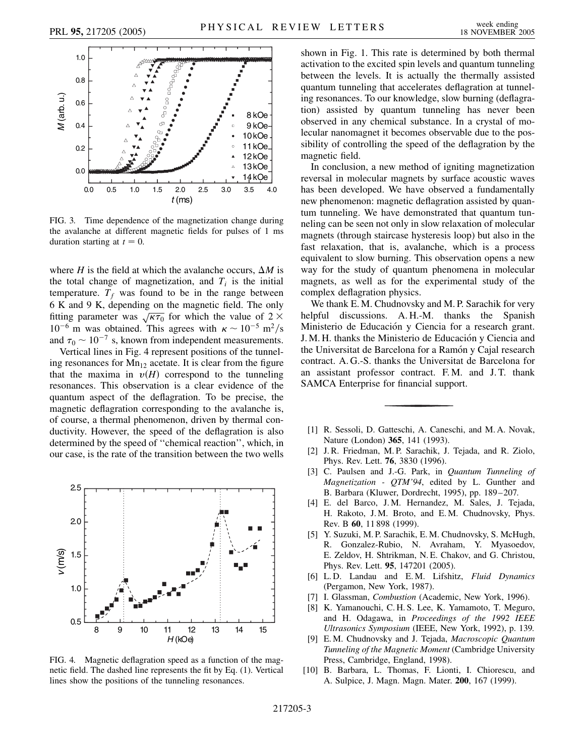

FIG. 3. Time dependence of the magnetization change during the avalanche at different magnetic fields for pulses of 1 ms duration starting at  $t = 0$ .

where *H* is the field at which the avalanche occurs,  $\Delta M$  is the total change of magnetization, and  $T_i$  is the initial temperature.  $T_f$  was found to be in the range between 6 K and 9 K, depending on the magnetic field. The only o **K** and 9 **K**, depending on the magnetic field. The only fitting parameter was  $\sqrt{\kappa \tau_0}$  for which the value of  $2 \times$  $10^{-6}$  m was obtained. This agrees with  $\kappa \sim 10^{-5}$  m<sup>2</sup>/s and  $\tau_0 \sim 10^{-7}$  s, known from independent measurements.

Vertical lines in Fig. 4 represent positions of the tunneling resonances for  $Mn_{12}$  acetate. It is clear from the figure that the maxima in  $v(H)$  correspond to the tunneling resonances. This observation is a clear evidence of the quantum aspect of the deflagration. To be precise, the magnetic deflagration corresponding to the avalanche is, of course, a thermal phenomenon, driven by thermal conductivity. However, the speed of the deflagration is also determined by the speed of ''chemical reaction'', which, in our case, is the rate of the transition between the two wells



FIG. 4. Magnetic deflagration speed as a function of the magnetic field. The dashed line represents the fit by Eq. (1). Vertical lines show the positions of the tunneling resonances.

shown in Fig. 1. This rate is determined by both thermal activation to the excited spin levels and quantum tunneling between the levels. It is actually the thermally assisted quantum tunneling that accelerates deflagration at tunneling resonances. To our knowledge, slow burning (deflagration) assisted by quantum tunneling has never been observed in any chemical substance. In a crystal of molecular nanomagnet it becomes observable due to the possibility of controlling the speed of the deflagration by the magnetic field.

In conclusion, a new method of igniting magnetization reversal in molecular magnets by surface acoustic waves has been developed. We have observed a fundamentally new phenomenon: magnetic deflagration assisted by quantum tunneling. We have demonstrated that quantum tunneling can be seen not only in slow relaxation of molecular magnets (through staircase hysteresis loop) but also in the fast relaxation, that is, avalanche, which is a process equivalent to slow burning. This observation opens a new way for the study of quantum phenomena in molecular magnets, as well as for the experimental study of the complex deflagration physics.

We thank E. M. Chudnovsky and M. P. Sarachik for very helpful discussions. A. H.-M. thanks the Spanish Ministerio de Educación y Ciencia for a research grant. J. M. H. thanks the Ministerio de Educación y Ciencia and the Universitat de Barcelona for a Ramón y Cajal research contract. A. G.-S. thanks the Universitat de Barcelona for an assistant professor contract. F. M. and J. T. thank SAMCA Enterprise for financial support.

- [1] R. Sessoli, D. Gatteschi, A. Caneschi, and M. A. Novak, Nature (London) **365**, 141 (1993).
- [2] J.R. Friedman, M.P. Sarachik, J. Tejada, and R. Ziolo, Phys. Rev. Lett. **76**, 3830 (1996).
- [3] C. Paulsen and J.-G. Park, in *Quantum Tunneling of Magnetization - QTM'94*, edited by L. Gunther and B. Barbara (Kluwer, Dordrecht, 1995), pp. 189–207.
- [4] E. del Barco, J. M. Hernandez, M. Sales, J. Tejada, H. Rakoto, J. M. Broto, and E. M. Chudnovsky, Phys. Rev. B **60**, 11 898 (1999).
- [5] Y. Suzuki, M. P. Sarachik, E. M. Chudnovsky, S. McHugh, R. Gonzalez-Rubio, N. Avraham, Y. Myasoedov, E. Zeldov, H. Shtrikman, N. E. Chakov, and G. Christou, Phys. Rev. Lett. **95**, 147201 (2005).
- [6] L. D. Landau and E. M. Lifshitz, *Fluid Dynamics* (Pergamon, New York, 1987).
- [7] I. Glassman, *Combustion* (Academic, New York, 1996).
- [8] K. Yamanouchi, C. H. S. Lee, K. Yamamoto, T. Meguro, and H. Odagawa, in *Proceedings of the 1992 IEEE Ultrasonics Symposium* (IEEE, New York, 1992), p. 139.
- [9] E. M. Chudnovsky and J. Tejada, *Macroscopic Quantum Tunneling of the Magnetic Moment* (Cambridge University Press, Cambridge, England, 1998).
- [10] B. Barbara, L. Thomas, F. Lionti, I. Chiorescu, and A. Sulpice, J. Magn. Magn. Mater. **200**, 167 (1999).